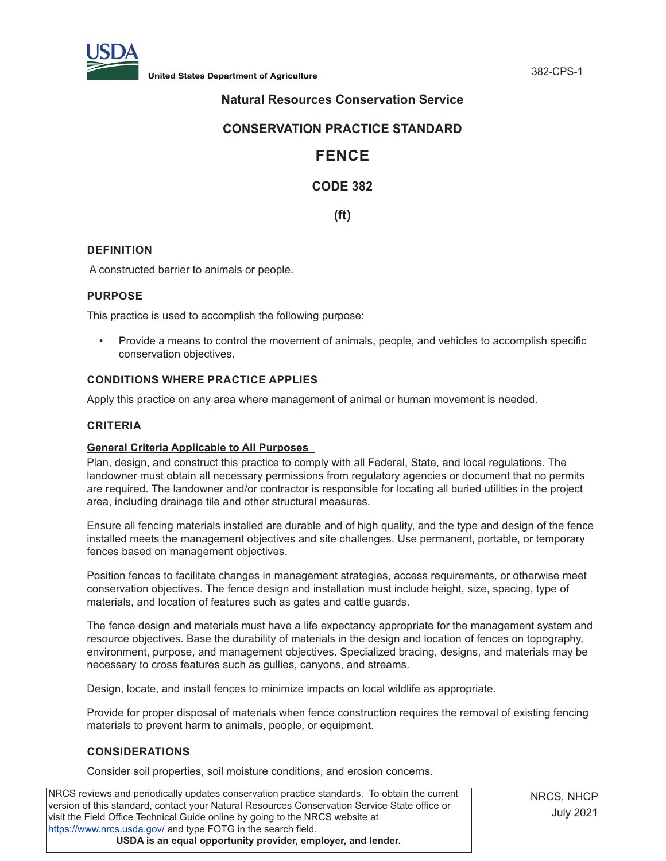

**United States Department of Agriculture** 382-CPS-1

# **Natural Resources Conservation Service**

## **CONSERVATION PRACTICE STANDARD**

# **FENCE**

# **CODE 382**

**(ft)**

## **DEFINITION**

A constructed barrier to animals or people.

#### **PURPOSE**

This practice is used to accomplish the following purpose:

• Provide a means to control the movement of animals, people, and vehicles to accomplish specific conservation objectives.

## **CONDITIONS WHERE PRACTICE APPLIES**

Apply this practice on any area where management of animal or human movement is needed.

#### **CRITERIA**

#### **General Criteria Applicable to All Purposes**

Plan, design, and construct this practice to comply with all Federal, State, and local regulations. The landowner must obtain all necessary permissions from regulatory agencies or document that no permits are required. The landowner and/or contractor is responsible for locating all buried utilities in the project area, including drainage tile and other structural measures.

Ensure all fencing materials installed are durable and of high quality, and the type and design of the fence installed meets the management objectives and site challenges. Use permanent, portable, or temporary fences based on management objectives.

Position fences to facilitate changes in management strategies, access requirements, or otherwise meet conservation objectives. The fence design and installation must include height, size, spacing, type of materials, and location of features such as gates and cattle guards.

The fence design and materials must have a life expectancy appropriate for the management system and resource objectives. Base the durability of materials in the design and location of fences on topography, environment, purpose, and management objectives. Specialized bracing, designs, and materials may be necessary to cross features such as gullies, canyons, and streams.

Design, locate, and install fences to minimize impacts on local wildlife as appropriate.

Provide for proper disposal of materials when fence construction requires the removal of existing fencing materials to prevent harm to animals, people, or equipment.

## **CONSIDERATIONS**

Consider soil properties, soil moisture conditions, and erosion concerns.

NRCS reviews and periodically updates conservation practice standards. To obtain the current version of this standard, contact your Natural Resources Conservation Service State office or visit the Field Office Technical Guide online by going to the NRCS website at <https://www.nrcs.usda.gov/>and type FOTG in the search field. **USDA is an equal opportunity provider, employer, and lender.**

NRCS, NHCP July 2021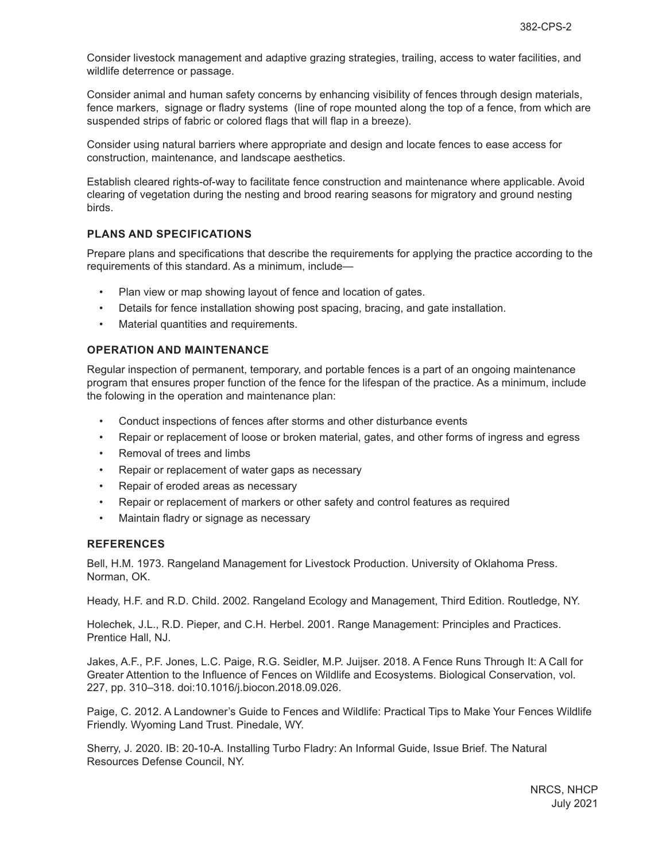Consider livestock management and adaptive grazing strategies, trailing, access to water facilities, and wildlife deterrence or passage.

Consider animal and human safety concerns by enhancing visibility of fences through design materials, fence markers, signage or fladry systems (line of rope mounted along the top of a fence, from which are suspended strips of fabric or colored flags that will flap in a breeze).

Consider using natural barriers where appropriate and design and locate fences to ease access for construction, maintenance, and landscape aesthetics.

Establish cleared rights-of-way to facilitate fence construction and maintenance where applicable. Avoid clearing of vegetation during the nesting and brood rearing seasons for migratory and ground nesting birds.

#### **PLANS AND SPECIFICATIONS**

Prepare plans and specifications that describe the requirements for applying the practice according to the requirements of this standard. As a minimum, include—

- Plan view or map showing layout of fence and location of gates.
- Details for fence installation showing post spacing, bracing, and gate installation.
- Material quantities and requirements.

#### **OPERATION AND MAINTENANCE**

Regular inspection of permanent, temporary, and portable fences is a part of an ongoing maintenance program that ensures proper function of the fence for the lifespan of the practice. As a minimum, include the folowing in the operation and maintenance plan:

- Conduct inspections of fences after storms and other disturbance events
- Repair or replacement of loose or broken material, gates, and other forms of ingress and egress
- Removal of trees and limbs
- Repair or replacement of water gaps as necessary
- Repair of eroded areas as necessary
- Repair or replacement of markers or other safety and control features as required
- Maintain fladry or signage as necessary

#### **REFERENCES**

Bell, H.M. 1973. Rangeland Management for Livestock Production. University of Oklahoma Press. Norman, OK.

Heady, H.F. and R.D. Child. 2002. Rangeland Ecology and Management, Third Edition. Routledge, NY.

Holechek, J.L., R.D. Pieper, and C.H. Herbel. 2001. Range Management: Principles and Practices. Prentice Hall, NJ.

Jakes, A.F., P.F. Jones, L.C. Paige, R.G. Seidler, M.P. Juijser. 2018. A Fence Runs Through It: A Call for Greater Attention to the Influence of Fences on Wildlife and Ecosystems. Biological Conservation, vol. 227, pp. 310–318. doi:10.1016/j.biocon.2018.09.026.

Paige, C. 2012. A Landowner's Guide to Fences and Wildlife: Practical Tips to Make Your Fences Wildlife Friendly. Wyoming Land Trust. Pinedale, WY.

Sherry, J. 2020. IB: 20-10-A. Installing Turbo Fladry: An Informal Guide, Issue Brief. The Natural Resources Defense Council, NY.